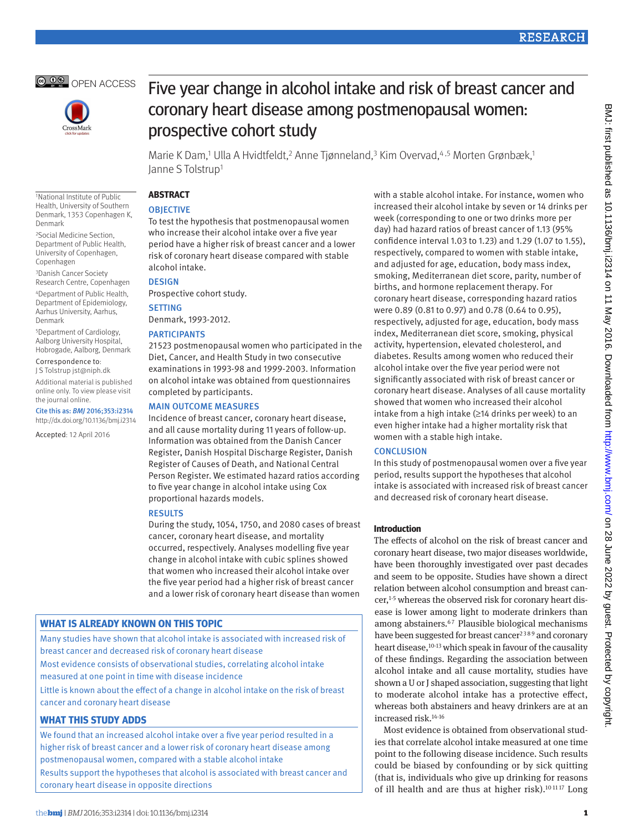



1National Institute of Public Health, University of Southern Denmark, 1353 Copenhagen K,

2Social Medicine Section, Department of Public Health, University of Copenhagen,

5Department of Cardiology, Aalborg University Hospital, Hobrogade, Aalborg, Denmark Correspondence to: J S Tolstrup jst@niph.dk Additional material is published online only. To view please visit

Cite this as: *BMJ* 2016;353:i2314 http://dx.doi.org/10.1136/bmj.i2314 Accepted: 12 April 2016

the journal online.

Denmark

Copenhagen 3Danish Cancer Society Research Centre, Copenhagen 4Department of Public Health, Department of Epidemiology, Aarhus University, Aarhus,

Denmark

# Five year change in alcohol intake and risk of breast cancer and coronary heart disease among postmenopausal women: prospective cohort study

Marie K Dam,<sup>1</sup> Ulla A Hvidtfeldt,<sup>2</sup> Anne Tjønneland,<sup>3</sup> Kim Overvad,<sup>4,5</sup> Morten Grønbæk,<sup>1</sup> Janne S Tolstrup1

# **ABSTRACT**

# **OBJECTIVE**

To test the hypothesis that postmenopausal women who increase their alcohol intake over a five year period have a higher risk of breast cancer and a lower risk of coronary heart disease compared with stable alcohol intake.

# **DESIGN**

Prospective cohort study.

# **SETTING**

Denmark, 1993-2012.

# **PARTICIPANTS**

21523 postmenopausal women who participated in the Diet, Cancer, and Health Study in two consecutive examinations in 1993-98 and 1999-2003. Information on alcohol intake was obtained from questionnaires completed by participants.

# **MAIN OUTCOME MEASURES**

Incidence of breast cancer, coronary heart disease, and all cause mortality during 11 years of follow-up. Information was obtained from the Danish Cancer Register, Danish Hospital Discharge Register, Danish Register of Causes of Death, and National Central Person Register. We estimated hazard ratios according to five year change in alcohol intake using Cox proportional hazards models.

## Results

During the study, 1054, 1750, and 2080 cases of breast cancer, coronary heart disease, and mortality occurred, respectively. Analyses modelling five year change in alcohol intake with cubic splines showed that women who increased their alcohol intake over the five year period had a higher risk of breast cancer and a lower risk of coronary heart disease than women

# **What is already known on this topic**

Many studies have shown that alcohol intake is associated with increased risk of breast cancer and decreased risk of coronary heart disease

Most evidence consists of observational studies, correlating alcohol intake measured at one point in time with disease incidence

Little is known about the effect of a change in alcohol intake on the risk of breast cancer and coronary heart disease

# **What this study adds**

We found that an increased alcohol intake over a five year period resulted in a higher risk of breast cancer and a lower risk of coronary heart disease among postmenopausal women, compared with a stable alcohol intake

Results support the hypotheses that alcohol is associated with breast cancer and coronary heart disease in opposite directions

with a stable alcohol intake. For instance, women who increased their alcohol intake by seven or 14 drinks per week (corresponding to one or two drinks more per day) had hazard ratios of breast cancer of 1.13 (95% confidence interval 1.03 to 1.23) and 1.29 (1.07 to 1.55), respectively, compared to women with stable intake, and adjusted for age, education, body mass index, smoking, Mediterranean diet score, parity, number of births, and hormone replacement therapy. For coronary heart disease, corresponding hazard ratios were 0.89 (0.81 to 0.97) and 0.78 (0.64 to 0.95), respectively, adjusted for age, education, body mass index, Mediterranean diet score, smoking, physical activity, hypertension, elevated cholesterol, and diabetes. Results among women who reduced their alcohol intake over the five year period were not significantly associated with risk of breast cancer or coronary heart disease. Analyses of all cause mortality showed that women who increased their alcohol intake from a high intake (≥14 drinks per week) to an even higher intake had a higher mortality risk that women with a stable high intake.

# **CONCLUSION**

In this study of postmenopausal women over a five year period, results support the hypotheses that alcohol intake is associated with increased risk of breast cancer and decreased risk of coronary heart disease.

## **Introduction**

The effects of alcohol on the risk of breast cancer and coronary heart disease, two major diseases worldwide, have been thoroughly investigated over past decades and seem to be opposite. Studies have shown a direct relation between alcohol consumption and breast cancer,1-5 whereas the observed risk for coronary heart disease is lower among light to moderate drinkers than among abstainers.<sup>67</sup> Plausible biological mechanisms have been suggested for breast cancer<sup>2389</sup> and coronary heart disease,<sup>10-13</sup> which speak in favour of the causality of these findings. Regarding the association between alcohol intake and all cause mortality, studies have shown a U or J shaped association, suggesting that light to moderate alcohol intake has a protective effect, whereas both abstainers and heavy drinkers are at an increased risk.14-16

Most evidence is obtained from observational studies that correlate alcohol intake measured at one time point to the following disease incidence. Such results could be biased by confounding or by sick quitting (that is, individuals who give up drinking for reasons of ill health and are thus at higher risk).<sup>10 11 17</sup> Long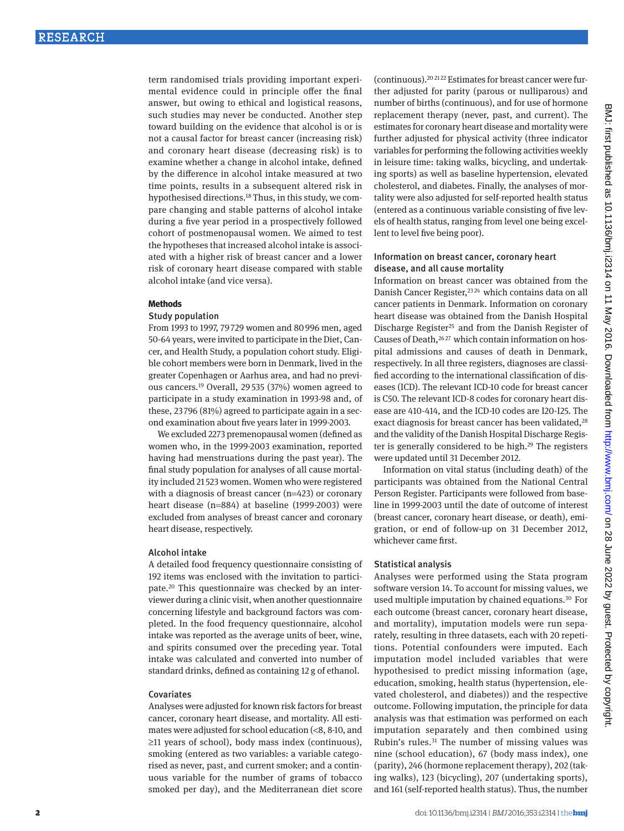term randomised trials providing important experimental evidence could in principle offer the final answer, but owing to ethical and logistical reasons, such studies may never be conducted. Another step toward building on the evidence that alcohol is or is not a causal factor for breast cancer (increasing risk) and coronary heart disease (decreasing risk) is to examine whether a change in alcohol intake, defined by the difference in alcohol intake measured at two time points, results in a subsequent altered risk in hypothesised directions.18 Thus, in this study, we compare changing and stable patterns of alcohol intake during a five year period in a prospectively followed cohort of postmenopausal women. We aimed to test the hypotheses that increased alcohol intake is associated with a higher risk of breast cancer and a lower risk of coronary heart disease compared with stable alcohol intake (and vice versa).

#### **Methods**

## Study population

From 1993 to 1997, 79729 women and 80996 men, aged 50-64 years, were invited to participate in the Diet, Cancer, and Health Study, a population cohort study. Eligible cohort members were born in Denmark, lived in the greater Copenhagen or Aarhus area, and had no previous cancers.19 Overall, 29 535 (37%) women agreed to participate in a study examination in 1993-98 and, of these, 23 796 (81%) agreed to participate again in a second examination about five years later in 1999-2003.

We excluded 2273 premenopausal women (defined as women who, in the 1999-2003 examination, reported having had menstruations during the past year). The final study population for analyses of all cause mortality included 21 523 women. Women who were registered with a diagnosis of breast cancer (n=423) or coronary heart disease (n=884) at baseline (1999-2003) were excluded from analyses of breast cancer and coronary heart disease, respectively.

#### Alcohol intake

A detailed food frequency questionnaire consisting of 192 items was enclosed with the invitation to participate.20 This questionnaire was checked by an interviewer during a clinic visit, when another questionnaire concerning lifestyle and background factors was completed. In the food frequency questionnaire, alcohol intake was reported as the average units of beer, wine, and spirits consumed over the preceding year. Total intake was calculated and converted into number of standard drinks, defined as containing 12 g of ethanol.

#### Covariates

Analyses were adjusted for known risk factors for breast cancer, coronary heart disease, and mortality. All estimates were adjusted for school education (<8, 8-10, and ≥11 years of school), body mass index (continuous), smoking (entered as two variables: a variable categorised as never, past, and current smoker; and a continuous variable for the number of grams of tobacco smoked per day), and the Mediterranean diet score

(continuous).20 <sup>21</sup> 22 Estimates for breast cancer were further adjusted for parity (parous or nulliparous) and number of births (continuous), and for use of hormone replacement therapy (never, past, and current). The estimates for coronary heart disease and mortality were further adjusted for physical activity (three indicator variables for performing the following activities weekly in leisure time: taking walks, bicycling, and undertaking sports) as well as baseline hypertension, elevated cholesterol, and diabetes. Finally, the analyses of mortality were also adjusted for self-reported health status (entered as a continuous variable consisting of five levels of health status, ranging from level one being excellent to level five being poor).

# Information on breast cancer, coronary heart disease, and all cause mortality

Information on breast cancer was obtained from the Danish Cancer Register,<sup>23 24</sup> which contains data on all cancer patients in Denmark. Information on coronary heart disease was obtained from the Danish Hospital Discharge Register<sup>25</sup> and from the Danish Register of Causes of Death,<sup>26 27</sup> which contain information on hospital admissions and causes of death in Denmark, respectively. In all three registers, diagnoses are classified according to the international classification of diseases (ICD). The relevant ICD-10 code for breast cancer is C50. The relevant ICD-8 codes for coronary heart disease are 410-414, and the ICD-10 codes are I20-I25. The exact diagnosis for breast cancer has been validated,<sup>28</sup> and the validity of the Danish Hospital Discharge Register is generally considered to be high.29 The registers were updated until 31 December 2012.

Information on vital status (including death) of the participants was obtained from the National Central Person Register. Participants were followed from baseline in 1999-2003 until the date of outcome of interest (breast cancer, coronary heart disease, or death), emigration, or end of follow-up on 31 December 2012, whichever came first.

#### Statistical analysis

Analyses were performed using the Stata program software version 14. To account for missing values, we used multiple imputation by chained equations.<sup>30</sup> For each outcome (breast cancer, coronary heart disease, and mortality), imputation models were run separately, resulting in three datasets, each with 20 repetitions. Potential confounders were imputed. Each imputation model included variables that were hypothesised to predict missing information (age, education, smoking, health status (hypertension, elevated cholesterol, and diabetes)) and the respective outcome. Following imputation, the principle for data analysis was that estimation was performed on each imputation separately and then combined using Rubin's rules.31 The number of missing values was nine (school education), 67 (body mass index), one (parity), 246 (hormone replacement therapy), 202 (taking walks), 123 (bicycling), 207 (undertaking sports), and 161 (self-reported health status). Thus, the number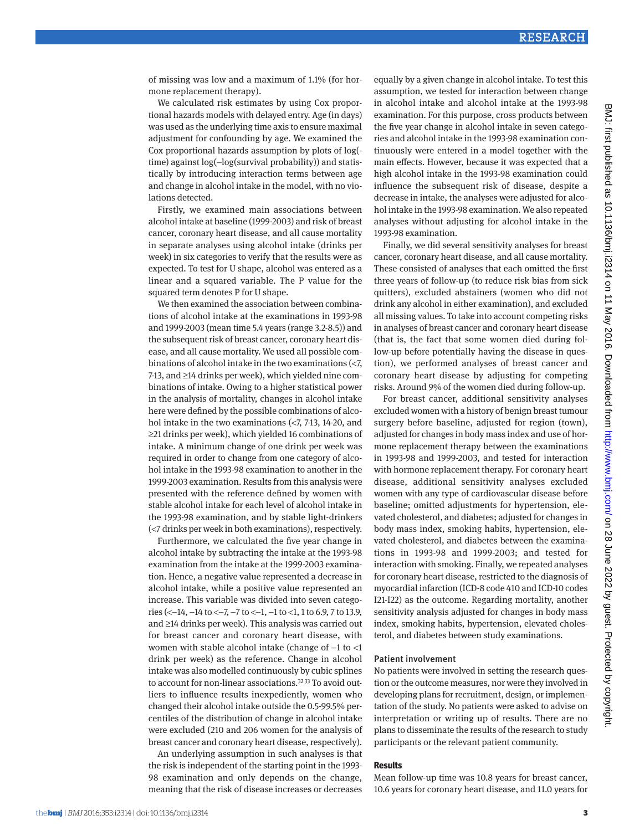of missing was low and a maximum of 1.1% (for hormone replacement therapy).

We calculated risk estimates by using Cox proportional hazards models with delayed entry. Age (in days) was used as the underlying time axis to ensure maximal adjustment for confounding by age. We examined the Cox proportional hazards assumption by plots of log( time) against log(−log(survival probability)) and statistically by introducing interaction terms between age and change in alcohol intake in the model, with no violations detected.

Firstly, we examined main associations between alcohol intake at baseline (1999-2003) and risk of breast cancer, coronary heart disease, and all cause mortality in separate analyses using alcohol intake (drinks per week) in six categories to verify that the results were as expected. To test for U shape, alcohol was entered as a linear and a squared variable. The P value for the squared term denotes P for U shape.

We then examined the association between combinations of alcohol intake at the examinations in 1993-98 and 1999-2003 (mean time 5.4 years (range 3.2-8.5)) and the subsequent risk of breast cancer, coronary heart disease, and all cause mortality. We used all possible combinations of alcohol intake in the two examinations (<7, 7-13, and ≥14 drinks per week), which yielded nine combinations of intake. Owing to a higher statistical power in the analysis of mortality, changes in alcohol intake here were defined by the possible combinations of alcohol intake in the two examinations (<7, 7-13, 14-20, and ≥21 drinks per week), which yielded 16 combinations of intake. A minimum change of one drink per week was required in order to change from one category of alcohol intake in the 1993-98 examination to another in the 1999-2003 examination. Results from this analysis were presented with the reference defined by women with stable alcohol intake for each level of alcohol intake in the 1993-98 examination, and by stable light-drinkers (<7 drinks per week in both examinations), respectively.

Furthermore, we calculated the five year change in alcohol intake by subtracting the intake at the 1993-98 examination from the intake at the 1999-2003 examination. Hence, a negative value represented a decrease in alcohol intake, while a positive value represented an increase. This variable was divided into seven categories (<−14, −14 to <−7, −7 to <−1, −1 to <1, 1 to 6.9, 7 to 13.9, and ≥14 drinks per week). This analysis was carried out for breast cancer and coronary heart disease, with women with stable alcohol intake (change of −1 to <1 drink per week) as the reference. Change in alcohol intake was also modelled continuously by cubic splines to account for non-linear associations.<sup>3233</sup> To avoid outliers to influence results inexpediently, women who changed their alcohol intake outside the 0.5-99.5% percentiles of the distribution of change in alcohol intake were excluded (210 and 206 women for the analysis of breast cancer and coronary heart disease, respectively).

An underlying assumption in such analyses is that the risk is independent of the starting point in the 1993- 98 examination and only depends on the change, meaning that the risk of disease increases or decreases

equally by a given change in alcohol intake. To test this assumption, we tested for interaction between change in alcohol intake and alcohol intake at the 1993-98 examination. For this purpose, cross products between the five year change in alcohol intake in seven categories and alcohol intake in the 1993-98 examination continuously were entered in a model together with the main effects. However, because it was expected that a high alcohol intake in the 1993-98 examination could influence the subsequent risk of disease, despite a decrease in intake, the analyses were adjusted for alcohol intake in the 1993-98 examination. We also repeated analyses without adjusting for alcohol intake in the 1993-98 examination.

Finally, we did several sensitivity analyses for breast cancer, coronary heart disease, and all cause mortality. These consisted of analyses that each omitted the first three years of follow-up (to reduce risk bias from sick quitters), excluded abstainers (women who did not drink any alcohol in either examination), and excluded all missing values. To take into account competing risks in analyses of breast cancer and coronary heart disease (that is, the fact that some women died during follow-up before potentially having the disease in question), we performed analyses of breast cancer and coronary heart disease by adjusting for competing risks. Around 9% of the women died during follow-up.

For breast cancer, additional sensitivity analyses excluded women with a history of benign breast tumour surgery before baseline, adjusted for region (town), adjusted for changes in body mass index and use of hormone replacement therapy between the examinations in 1993-98 and 1999-2003, and tested for interaction with hormone replacement therapy. For coronary heart disease, additional sensitivity analyses excluded women with any type of cardiovascular disease before baseline; omitted adjustments for hypertension, elevated cholesterol, and diabetes; adjusted for changes in body mass index, smoking habits, hypertension, elevated cholesterol, and diabetes between the examinations in 1993-98 and 1999-2003; and tested for interaction with smoking. Finally, we repeated analyses for coronary heart disease, restricted to the diagnosis of myocardial infarction (ICD-8 code 410 and ICD-10 codes I21-I22) as the outcome. Regarding mortality, another sensitivity analysis adjusted for changes in body mass index, smoking habits, hypertension, elevated cholesterol, and diabetes between study examinations.

#### Patient involvement

No patients were involved in setting the research question or the outcome measures, nor were they involved in developing plans for recruitment, design, or implementation of the study. No patients were asked to advise on interpretation or writing up of results. There are no plans to disseminate the results of the research to study participants or the relevant patient community.

#### **Results**

Mean follow-up time was 10.8 years for breast cancer, 10.6 years for coronary heart disease, and 11.0 years for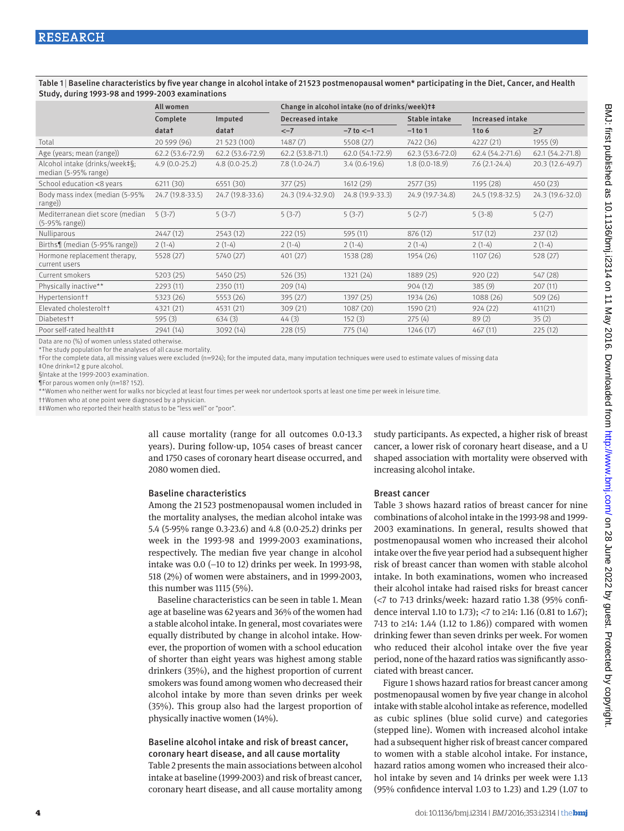Table 1 | Baseline characteristics by five year change in alcohol intake of 21523 postmenopausal women\* participating in the Diet, Cancer, and Health Study, during 1993-98 and 1999-2003 examinations

|                                                        | All women        |                   | Change in alcohol intake (no of drinks/week)t‡ |                  |                     |                  |                  |
|--------------------------------------------------------|------------------|-------------------|------------------------------------------------|------------------|---------------------|------------------|------------------|
|                                                        | Complete         | Imputed           | Decreased intake                               |                  | Stable intake       | Increased intake |                  |
|                                                        | datat            | datat             | $<-7$                                          | $-7$ to $<-1$    | $-1$ to 1           | 1 to 6           | $\geq 7$         |
| Total                                                  | 20 599 (96)      | 21 523 (100)      | 1487(7)                                        | 5508 (27)        | 7422 (36)           | 4227(21)         | 1955(9)          |
| Age (years; mean (range))                              | 62.2 (53.6-72.9) | $62.2(53.6-72.9)$ | 62.2 (53.8-71.1)                               | 62.0 (54.1-72.9) | $62.3(53.6 - 72.0)$ | 62.4 (54.2-71.6) | 62.1 (54.2-71.8) |
| Alcohol intake (drinks/week‡§;<br>median (5-95% range) | $4.9(0.0-25.2)$  | $4.8(0.0-25.2)$   | $7.8(1.0-24.7)$                                | $3.4(0.6-19.6)$  | $1.8(0.0-18.9)$     | $7.6(2.1-24.4)$  | 20.3 (12.6-49.7) |
| School education <8 years                              | 6211 (30)        | 6551 (30)         | 377(25)                                        | 1612(29)         | 2577 (35)           | 1195(28)         | 450(23)          |
| Body mass index (median (5-95%<br>range))              | 24.7 (19.8-33.5) | 24.7 (19.8-33.6)  | 24.3 (19.4-32.9.0)                             | 24.8 (19.9-33.3) | 24.9 (19.7-34.8)    | 24.5 (19.8-32.5) | 24.3 (19.6-32.0) |
| Mediterranean diet score (median<br>$(5-95%$ range)    | $5(3-7)$         | $5(3-7)$          | $5(3-7)$                                       | $5(3-7)$         | $5(2-7)$            | $5(3-8)$         | $5(2-7)$         |
| <b>Nulliparous</b>                                     | 2447(12)         | 2543(12)          | 222(15)                                        | 595 (11)         | 876 (12)            | 517(12)          | 237(12)          |
| Births¶ (median (5-95% range))                         | $2(1-4)$         | $2(1-4)$          | $2(1-4)$                                       | $2(1-4)$         | $2(1-4)$            | $2(1-4)$         | $2(1-4)$         |
| Hormone replacement therapy,<br>current users          | 5528 (27)        | 5740 (27)         | 401(27)                                        | 1538 (28)        | 1954 (26)           | 1107(26)         | 528 (27)         |
| Current smokers                                        | 5203(25)         | 5450 (25)         | 526 (35)                                       | 1321(24)         | 1889 (25)           | 920(22)          | 547 (28)         |
| Physically inactive**                                  | 2293 (11)        | 2350 (11)         | 209(14)                                        |                  | 904(12)             | 385(9)           | 207(11)          |
| Hypertension††                                         | 5323 (26)        | 5553(26)          | 395 (27)                                       | 1397(25)         | 1934 (26)           | 1088 (26)        | 509(26)          |
| Elevated cholesteroltt                                 | 4321 (21)        | 4531 (21)         | 309(21)                                        | 1087(20)         | 1590 (21)           | 924(22)          | 411(21)          |
| Diabetestt                                             | 595(3)           | 634(3)            | 44(3)                                          | 152(3)           | 275(4)              | 89(2)            | 35(2)            |
| Poor self-rated health##                               | 2941 (14)        | 3092 (14)         | 228(15)                                        | 775 (14)         | 1246 (17)           | 467(11)          | 225(12)          |

Data are no (%) of women unless stated otherwise.

\*The study population for the analyses of all cause mortality.

†For the complete data, all missing values were excluded (n=924); for the imputed data, many imputation techniques were used to estimate values of missing data

‡One drink=12 g pure alcohol.

§Intake at the 1999-2003 examination.

¶For parous women only (n=18? 152).

\*\*Women who neither went for walks nor bicycled at least four times per week nor undertook sports at least one time per week in leisure time.

††Women who at one point were diagnosed by a physician.

‡‡Women who reported their health status to be "less well" or "poor".

all cause mortality (range for all outcomes 0.0-13.3 years). During follow-up, 1054 cases of breast cancer and 1750 cases of coronary heart disease occurred, and 2080 women died.

#### Baseline characteristics

Among the 21 523 postmenopausal women included in the mortality analyses, the median alcohol intake was 5.4 (5-95% range 0.3-23.6) and 4.8 (0.0-25.2) drinks per week in the 1993-98 and 1999-2003 examinations, respectively. The median five year change in alcohol intake was 0.0 (−10 to 12) drinks per week. In 1993-98, 518 (2%) of women were abstainers, and in 1999-2003, this number was 1115 (5%).

Baseline characteristics can be seen in table 1. Mean age at baseline was 62 years and 36% of the women had a stable alcohol intake. In general, most covariates were equally distributed by change in alcohol intake. However, the proportion of women with a school education of shorter than eight years was highest among stable drinkers (35%), and the highest proportion of current smokers was found among women who decreased their alcohol intake by more than seven drinks per week (35%). This group also had the largest proportion of physically inactive women (14%).

## Baseline alcohol intake and risk of breast cancer, coronary heart disease, and all cause mortality

Table 2 presents the main associations between alcohol intake at baseline (1999-2003) and risk of breast cancer, coronary heart disease, and all cause mortality among study participants. As expected, a higher risk of breast cancer, a lower risk of coronary heart disease, and a U shaped association with mortality were observed with increasing alcohol intake.

#### Breast cancer

Table 3 shows hazard ratios of breast cancer for nine combinations of alcohol intake in the 1993-98 and 1999- 2003 examinations. In general, results showed that postmenopausal women who increased their alcohol intake over the five year period had a subsequent higher risk of breast cancer than women with stable alcohol intake. In both examinations, women who increased their alcohol intake had raised risks for breast cancer (<7 to 7-13 drinks/week: hazard ratio 1.38 (95% confidence interval 1.10 to 1.73); <7 to  $\geq$ 14: 1.16 (0.81 to 1.67); 7-13 to ≥14: 1.44 (1.12 to 1.86)) compared with women drinking fewer than seven drinks per week. For women who reduced their alcohol intake over the five year period, none of the hazard ratios was significantly associated with breast cancer.

Figure 1 shows hazard ratios for breast cancer among postmenopausal women by five year change in alcohol intake with stable alcohol intake as reference, modelled as cubic splines (blue solid curve) and categories (stepped line). Women with increased alcohol intake had a subsequent higher risk of breast cancer compared to women with a stable alcohol intake. For instance, hazard ratios among women who increased their alcohol intake by seven and 14 drinks per week were 1.13 (95% confidence interval 1.03 to 1.23) and 1.29 (1.07 to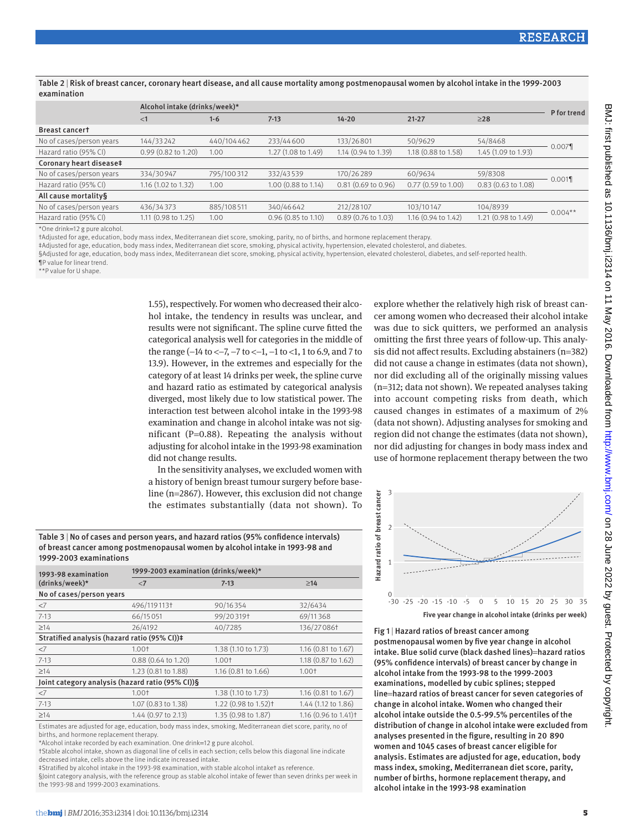Table 2 | Risk of breast cancer, coronary heart disease, and all cause mortality among postmenopausal women by alcohol intake in the 1999-2003 examination

|                          | Alcohol intake (drinks/week)* |            |                       |                       | P for trend                   |                     |           |
|--------------------------|-------------------------------|------------|-----------------------|-----------------------|-------------------------------|---------------------|-----------|
|                          | <1                            | $1 - 6$    | $7-13$                | $14 - 20$             | $21 - 27$                     | $\geq$ 28           |           |
| <b>Breast cancert</b>    |                               |            |                       |                       |                               |                     |           |
| No of cases/person years | 144/33242                     | 440/104462 | 233/44600             | 133/26801             | 50/9629                       | 54/8468             | 0.007     |
| Hazard ratio (95% CI)    | $0.99$ (0.82 to 1.20)         | 1.00       | 1.27 (1.08 to 1.49)   | 1.14 (0.94 to 1.39)   | 1.18 (0.88 to 1.58)           | 1.45 (1.09 to 1.93) |           |
| Coronary heart disease‡  |                               |            |                       |                       |                               |                     |           |
| No of cases/person years | 334/30947                     | 795/100312 | 332/43539             | 170/26289             | 60/9634                       | 59/8308             |           |
| Hazard ratio (95% CI)    | 1.16 (1.02 to 1.32)           | 1.00       | 1.00 (0.88 to 1.14)   | $0.81$ (0.69 to 0.96) | $0.77(0.59 \text{ to } 1.00)$ | 0.83 (0.63 to 1.08) | 0.001     |
| All cause mortality§     |                               |            |                       |                       |                               |                     |           |
| No of cases/person years | 436/34373                     | 885/108511 | 340/46642             | 212/28107             | 103/10147                     | 104/8939            | $0.004**$ |
| Hazard ratio (95% CI)    | 1.11 (0.98 to 1.25)           | 1.00       | $0.96$ (0.85 to 1.10) | 0.89 (0.76 to 1.03)   | 1.16 (0.94 to 1.42)           | 1.21 (0.98 to 1.49) |           |
|                          |                               |            |                       |                       |                               |                     |           |

\*One drink=12 g pure alcohol.

†Adjusted for age, education, body mass index, Mediterranean diet score, smoking, parity, no of births, and hormone replacement therapy.

‡Adjusted for age, education, body mass index, Mediterranean diet score, smoking, physical activity, hypertension, elevated cholesterol, and diabetes.

§Adjusted for age, education, body mass index, Mediterranean diet score, smoking, physical activity, hypertension, elevated cholesterol, diabetes, and self-reported health

¶P value for linear trend.

\*\*P value for U shape.

1.55), respectively. For women who decreased their alcohol intake, the tendency in results was unclear, and results were not significant. The spline curve fitted the categorical analysis well for categories in the middle of the range (−14 to <−7, −7 to <−1, −1 to <1, 1 to 6.9, and 7 to 13.9). However, in the extremes and especially for the category of at least 14 drinks per week, the spline curve and hazard ratio as estimated by categorical analysis diverged, most likely due to low statistical power. The interaction test between alcohol intake in the 1993-98 examination and change in alcohol intake was not significant (P=0.88). Repeating the analysis without adjusting for alcohol intake in the 1993-98 examination did not change results.

In the sensitivity analyses, we excluded women with a history of benign breast tumour surgery before baseline (n=2867). However, this exclusion did not change the estimates substantially (data not shown). To

explore whether the relatively high risk of breast cancer among women who decreased their alcohol intake was due to sick quitters, we performed an analysis omitting the first three years of follow-up. This analysis did not affect results. Excluding abstainers (n=382) did not cause a change in estimates (data not shown), nor did excluding all of the originally missing values (n=312; data not shown). We repeated analyses taking into account competing risks from death, which caused changes in estimates of a maximum of 2% (data not shown). Adjusting analyses for smoking and region did not change the estimates (data not shown), nor did adjusting for changes in body mass index and use of hormone replacement therapy between the two



| 1993-98 examination                                                                                          | 1999-2003 examination (drinks/week)* |                                  |                                  |  |  |  |
|--------------------------------------------------------------------------------------------------------------|--------------------------------------|----------------------------------|----------------------------------|--|--|--|
| $(drinks/week)^*$                                                                                            | $7 - 13$<br>$<$ 7                    |                                  | $\geq$ 14                        |  |  |  |
| No of cases/person years                                                                                     |                                      |                                  |                                  |  |  |  |
| $<$ 7                                                                                                        | 496/119113†                          | 90/16354                         | 32/6434                          |  |  |  |
| $7 - 13$                                                                                                     | 66/15051                             | 99/20319†                        | 69/11368                         |  |  |  |
| >14                                                                                                          | 26/4192                              | 40/7285                          | 136/27086†                       |  |  |  |
| Stratified analysis (hazard ratio (95% CI))#                                                                 |                                      |                                  |                                  |  |  |  |
| $<$ 7                                                                                                        | 1.00 <sub>†</sub>                    | 1.38 (1.10 to 1.73)              | 1.16 (0.81 to 1.67)              |  |  |  |
| $7 - 13$                                                                                                     | 0.88 (0.64 to 1.20)                  | 1.00 <sup>†</sup>                | 1.18 (0.87 to 1.62)              |  |  |  |
| >14                                                                                                          | 1.23 (0.81 to 1.88)                  | 1.16 (0.81 to 1.66)              | 1.00 <sub>†</sub>                |  |  |  |
| Joint category analysis (hazard ratio (95% CI))§                                                             |                                      |                                  |                                  |  |  |  |
| $<$ 7                                                                                                        | 1.00 <sub>†</sub>                    | 1.38 (1.10 to 1.73)              | 1.16 (0.81 to 1.67)              |  |  |  |
| $7 - 13$                                                                                                     | 1.07 (0.83 to 1.38)                  | 1.22 (0.98 to 1.52) <sup>+</sup> | 1.44 (1.12 to 1.86)              |  |  |  |
| $\geq$ 14                                                                                                    | 1.44 (0.97 to 2.13)                  | 1.35 (0.98 to 1.87)              | 1.16 (0.96 to 1.41) <sup>+</sup> |  |  |  |
| Estimates are adjusted for age, education, body mass index, smoking, Mediterranean diet score, parity, no of |                                      |                                  |                                  |  |  |  |

births, and hormone replacement therapy.

\*Alcohol intake recorded by each examination. One drink=12 g pure alcohol.

†Stable alcohol intake, shown as diagonal line of cells in each section; cells below this diagonal line indicate decreased intake, cells above the line indicate increased intake.

‡Stratified by alcohol intake in the 1993-98 examination, with stable alcohol intake† as reference. §Joint category analysis, with the reference group as stable alcohol intake of fewer than seven drinks per week in the 1993-98 and 1999-2003 examinations.



Fig 1 | Hazard ratios of breast cancer among postmenopausal women by five year change in alcohol intake. Blue solid curve (black dashed lines)=hazard ratios (95% confidence intervals) of breast cancer by change in alcohol intake from the 1993-98 to the 1999-2003 examinations, modelled by cubic splines; stepped line=hazard ratios of breast cancer for seven categories of change in alcohol intake. Women who changed their alcohol intake outside the 0.5-99.5% percentiles of the distribution of change in alcohol intake were excluded from analyses presented in the figure, resulting in 20 890 women and 1045 cases of breast cancer eligible for analysis. Estimates are adjusted for age, education, body mass index, smoking, Mediterranean diet score, parity, number of births, hormone replacement therapy, and alcohol intake in the 1993-98 examination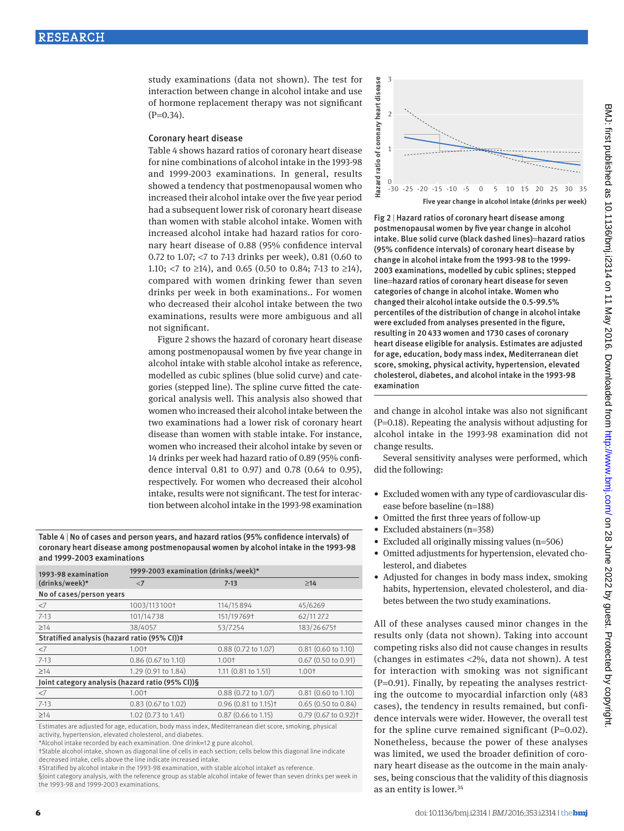study examinations (data not shown). The test for interaction between change in alcohol intake and use of hormone replacement therapy was not significant  $(P=0.34)$ .

#### Coronary heart disease

Table 4 shows hazard ratios of coronary heart disease for nine combinations of alcohol intake in the 1993-98 and 1999-2003 examinations. In general, results showed a tendency that postmenopausal women who increased their alcohol intake over the five year period had a subsequent lower risk of coronary heart disease than women with stable alcohol intake. Women with increased alcohol intake had hazard ratios for coronary heart disease of 0.88 (95% confidence interval 0.72 to 1.07; <7 to 7-13 drinks per week), 0.81 (0.60 to 1.10; <7 to  $\geq$ 14), and 0.65 (0.50 to 0.84; 7-13 to  $\geq$ 14), compared with women drinking fewer than seven drinks per week in both examinations.. For women who decreased their alcohol intake between the two examinations, results were more ambiguous and all not significant.

Figure 2 shows the hazard of coronary heart disease among postmenopausal women by five year change in alcohol intake with stable alcohol intake as reference, modelled as cubic splines (blue solid curve) and categories (stepped line). The spline curve fitted the categorical analysis well. This analysis also showed that women who increased their alcohol intake between the two examinations had a lower risk of coronary heart disease than women with stable intake. For instance, women who increased their alcohol intake by seven or 14 drinks per week had hazard ratio of 0.89 (95% confidence interval 0.81 to 0.97) and 0.78 (0.64 to 0.95), respectively. For women who decreased their alcohol intake, results were not significant. The test for interaction between alcohol intake in the 1993-98 examination

Table 4 | No of cases and person years, and hazard ratios (95% confidence intervals) of coronary heart disease among postmenopausal women by alcohol intake in the 1993-98 and 1999-2003 examinations

| 1993-98 examination                                                                                  | 1999-2003 examination (drinks/week)* |                                    |                                  |  |  |  |
|------------------------------------------------------------------------------------------------------|--------------------------------------|------------------------------------|----------------------------------|--|--|--|
| (drinks/week)*                                                                                       | $<$ 7                                | $7 - 13$                           | $\geq$ 14                        |  |  |  |
| No of cases/person years                                                                             |                                      |                                    |                                  |  |  |  |
| $<$ 7                                                                                                | 1003/1131001                         | 114/15894                          | 45/6269                          |  |  |  |
| $7 - 13$                                                                                             | 101/14738                            | 151/19769†                         | 62/11 272                        |  |  |  |
| $\geq$ 14                                                                                            | 38/4057                              | 53/7254                            | 183/26675†                       |  |  |  |
| Stratified analysis (hazard ratio (95% CI))#                                                         |                                      |                                    |                                  |  |  |  |
| <7                                                                                                   | 1.00 <sub>†</sub>                    | 0.88 (0.72 to 1.07)                | $0.81$ (0.60 to 1.10)            |  |  |  |
| $7-13$                                                                                               | 0.86 (0.67 to 1.10)                  | 1.00 <sub>†</sub>                  | $0.67$ (0.50 to 0.91)            |  |  |  |
| $\geq$ 14                                                                                            | 1.29 (0.91 to 1.84)                  | 1.11 (0.81 to 1.51)                | $1.00+$                          |  |  |  |
| Joint category analysis (hazard ratio (95% CI))§                                                     |                                      |                                    |                                  |  |  |  |
| <7                                                                                                   | 1.00 <sub>†</sub>                    | 0.88 (0.72 to 1.07)                | $0.81$ (0.60 to 1.10)            |  |  |  |
| $7 - 13$                                                                                             | 0.83 (0.67 to 1.02)                  | $0.96$ (0.81 to 1.15) <sup>+</sup> | 0.65 (0.50 to 0.84)              |  |  |  |
| >14                                                                                                  | 1.02 (0.73 to 1.41)                  | $0.87$ (0.66 to 1.15)              | 0.79 (0.67 to 0.92) <sup>+</sup> |  |  |  |
| Estimates are adjusted faresce adjusting bedumeses index. Mediterranean distances, smaling physical. |                                      |                                    |                                  |  |  |  |

Estimates are adjusted for age, education, body mass index, Mediterranean diet score, smoking, physical activity, hypertension, elevated cholesterol, and diabetes.

\*Alcohol intake recorded by each examination. One drink=12 g pure alcohol.

†Stable alcohol intake, shown as diagonal line of cells in each section; cells below this diagonal line indicate decreased intake, cells above the line indicate increased intake.

‡Stratified by alcohol intake in the 1993-98 examination, with stable alcohol intake† as reference. §Joint category analysis, with the reference group as stable alcohol intake of fewer than seven drinks per week in the 1993-98 and 1999-2003 examinations.



Fig 2 | Hazard ratios of coronary heart disease among postmenopausal women by five year change in alcohol intake. Blue solid curve (black dashed lines)=hazard ratios (95% confidence intervals) of coronary heart disease by change in alcohol intake from the 1993-98 to the 1999- 2003 examinations, modelled by cubic splines; stepped line=hazard ratios of coronary heart disease for seven categories of change in alcohol intake. Women who changed their alcohol intake outside the 0.5-99.5% percentiles of the distribution of change in alcohol intake were excluded from analyses presented in the figure, resulting in 20433 women and 1730 cases of coronary heart disease eligible for analysis. Estimates are adjusted for age, education, body mass index, Mediterranean diet score, smoking, physical activity, hypertension, elevated cholesterol, diabetes, and alcohol intake in the 1993-98 examination

and change in alcohol intake was also not significant (P=0.18). Repeating the analysis without adjusting for alcohol intake in the 1993-98 examination did not change results.

Several sensitivity analyses were performed, which did the following:

- • Excluded women with any type of cardiovascular disease before baseline (n=188)
- • Omitted the first three years of follow-up
- Excluded abstainers (n=358)
- Excluded all originally missing values (n=506)
- • Omitted adjustments for hypertension, elevated cholesterol, and diabetes
- • Adjusted for changes in body mass index, smoking habits, hypertension, elevated cholesterol, and diabetes between the two study examinations.

All of these analyses caused minor changes in the results only (data not shown). Taking into account competing risks also did not cause changes in results (changes in estimates <2%, data not shown). A test for interaction with smoking was not significant (P=0.91). Finally, by repeating the analyses restricting the outcome to myocardial infarction only (483 cases), the tendency in results remained, but confidence intervals were wider. However, the overall test for the spline curve remained significant  $(P=0.02)$ . Nonetheless, because the power of these analyses was limited, we used the broader definition of coronary heart disease as the outcome in the main analyses, being conscious that the validity of this diagnosis as an entity is lower.<sup>34</sup>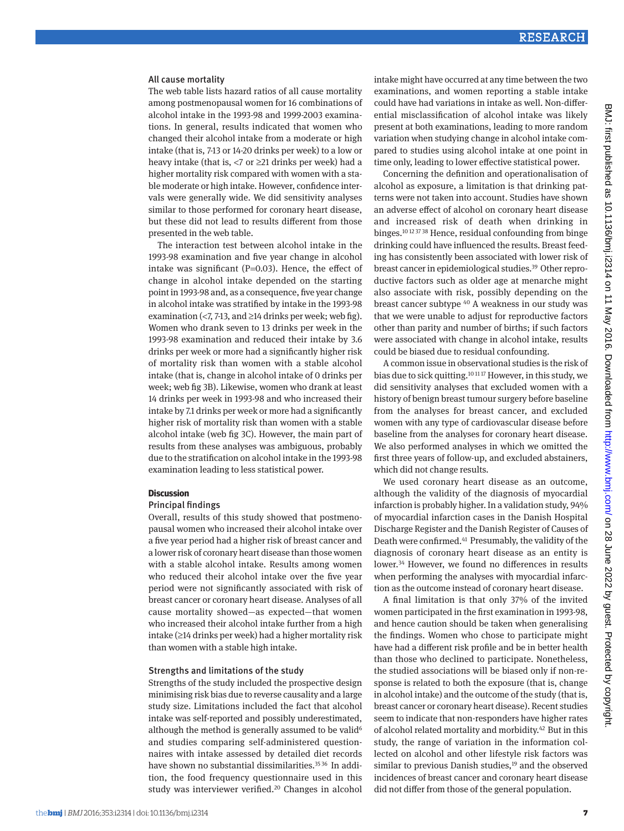### All cause mortality

The web table lists hazard ratios of all cause mortality among postmenopausal women for 16 combinations of alcohol intake in the 1993-98 and 1999-2003 examinations. In general, results indicated that women who changed their alcohol intake from a moderate or high intake (that is, 7-13 or 14-20 drinks per week) to a low or heavy intake (that is, <7 or ≥21 drinks per week) had a higher mortality risk compared with women with a stable moderate or high intake. However, confidence intervals were generally wide. We did sensitivity analyses similar to those performed for coronary heart disease, but these did not lead to results different from those presented in the web table.

The interaction test between alcohol intake in the 1993-98 examination and five year change in alcohol intake was significant ( $P=0.03$ ). Hence, the effect of change in alcohol intake depended on the starting point in 1993-98 and, as a consequence, five year change in alcohol intake was stratified by intake in the 1993-98 examination (<7, 7-13, and  $\geq$ 14 drinks per week; web fig). Women who drank seven to 13 drinks per week in the 1993-98 examination and reduced their intake by 3.6 drinks per week or more had a significantly higher risk of mortality risk than women with a stable alcohol intake (that is, change in alcohol intake of 0 drinks per week; web fig 3B). Likewise, women who drank at least 14 drinks per week in 1993-98 and who increased their intake by 7.1 drinks per week or more had a significantly higher risk of mortality risk than women with a stable alcohol intake (web fig 3C). However, the main part of results from these analyses was ambiguous, probably due to the stratification on alcohol intake in the 1993-98 examination leading to less statistical power.

#### **Discussion**

#### Principal findings

Overall, results of this study showed that postmenopausal women who increased their alcohol intake over a five year period had a higher risk of breast cancer and a lower risk of coronary heart disease than those women with a stable alcohol intake. Results among women who reduced their alcohol intake over the five year period were not significantly associated with risk of breast cancer or coronary heart disease. Analyses of all cause mortality showed—as expected—that women who increased their alcohol intake further from a high intake (≥14 drinks per week) had a higher mortality risk than women with a stable high intake.

## Strengths and limitations of the study

Strengths of the study included the prospective design minimising risk bias due to reverse causality and a large study size. Limitations included the fact that alcohol intake was self-reported and possibly underestimated, although the method is generally assumed to be valid<sup>6</sup> and studies comparing self-administered questionnaires with intake assessed by detailed diet records have shown no substantial dissimilarities.<sup>35 36</sup> In addition, the food frequency questionnaire used in this study was interviewer verified.20 Changes in alcohol

intake might have occurred at any time between the two examinations, and women reporting a stable intake could have had variations in intake as well. Non-differential misclassification of alcohol intake was likely present at both examinations, leading to more random variation when studying change in alcohol intake compared to studies using alcohol intake at one point in time only, leading to lower effective statistical power.

Concerning the definition and operationalisation of alcohol as exposure, a limitation is that drinking patterns were not taken into account. Studies have shown an adverse effect of alcohol on coronary heart disease and increased risk of death when drinking in binges.10 <sup>12</sup> <sup>37</sup> 38 Hence, residual confounding from binge drinking could have influenced the results. Breast feeding has consistently been associated with lower risk of breast cancer in epidemiological studies.39 Other reproductive factors such as older age at menarche might also associate with risk, possibly depending on the breast cancer subtype 40 A weakness in our study was that we were unable to adjust for reproductive factors other than parity and number of births; if such factors were associated with change in alcohol intake, results could be biased due to residual confounding.

A common issue in observational studies is the risk of bias due to sick quitting.10 <sup>11</sup> 17 However, in this study, we did sensitivity analyses that excluded women with a history of benign breast tumour surgery before baseline from the analyses for breast cancer, and excluded women with any type of cardiovascular disease before baseline from the analyses for coronary heart disease. We also performed analyses in which we omitted the first three years of follow-up, and excluded abstainers, which did not change results.

We used coronary heart disease as an outcome, although the validity of the diagnosis of myocardial infarction is probably higher. In a validation study, 94% of myocardial infarction cases in the Danish Hospital Discharge Register and the Danish Register of Causes of Death were confirmed.41 Presumably, the validity of the diagnosis of coronary heart disease as an entity is lower.34 However, we found no differences in results when performing the analyses with myocardial infarction as the outcome instead of coronary heart disease.

A final limitation is that only 37% of the invited women participated in the first examination in 1993-98, and hence caution should be taken when generalising the findings. Women who chose to participate might have had a different risk profile and be in better health than those who declined to participate. Nonetheless, the studied associations will be biased only if non-response is related to both the exposure (that is, change in alcohol intake) and the outcome of the study (that is, breast cancer or coronary heart disease). Recent studies seem to indicate that non-responders have higher rates of alcohol related mortality and morbidity.42 But in this study, the range of variation in the information collected on alcohol and other lifestyle risk factors was similar to previous Danish studies,<sup>19</sup> and the observed incidences of breast cancer and coronary heart disease did not differ from those of the general population.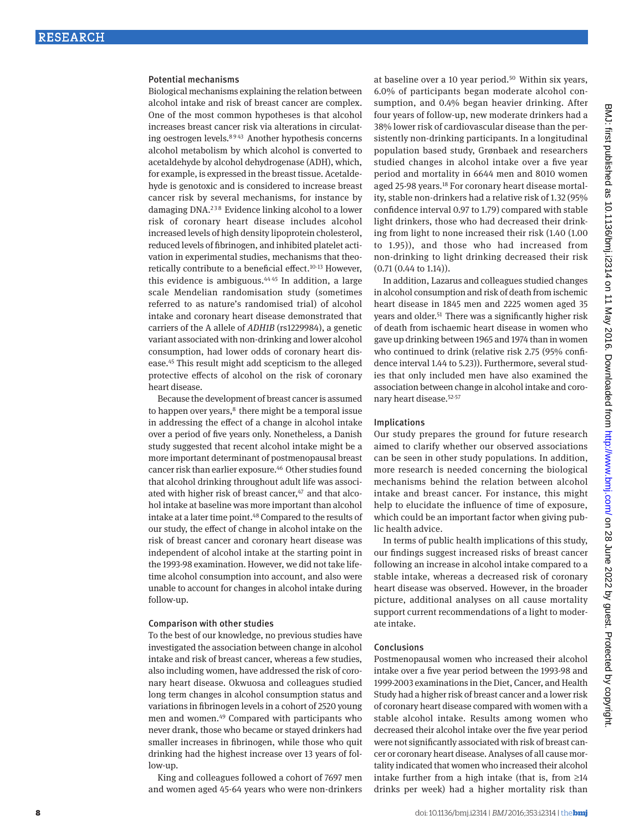#### Potential mechanisms

Biological mechanisms explaining the relation between alcohol intake and risk of breast cancer are complex. One of the most common hypotheses is that alcohol increases breast cancer risk via alterations in circulating oestrogen levels.<sup>8943</sup> Another hypothesis concerns alcohol metabolism by which alcohol is converted to acetaldehyde by alcohol dehydrogenase (ADH), which, for example, is expressed in the breast tissue. Acetaldehyde is genotoxic and is considered to increase breast cancer risk by several mechanisms, for instance by damaging DNA.<sup>238</sup> Evidence linking alcohol to a lower risk of coronary heart disease includes alcohol increased levels of high density lipoprotein cholesterol, reduced levels of fibrinogen, and inhibited platelet activation in experimental studies, mechanisms that theoretically contribute to a beneficial effect.10-13 However, this evidence is ambiguous.<sup>44 45</sup> In addition, a large scale Mendelian randomisation study (sometimes referred to as nature's randomised trial) of alcohol intake and coronary heart disease demonstrated that carriers of the A allele of *ADH1B* (rs1229984), a genetic variant associated with non-drinking and lower alcohol consumption, had lower odds of coronary heart disease.45 This result might add scepticism to the alleged protective effects of alcohol on the risk of coronary heart disease.

Because the development of breast cancer is assumed to happen over years, $8$  there might be a temporal issue in addressing the effect of a change in alcohol intake over a period of five years only. Nonetheless, a Danish study suggested that recent alcohol intake might be a more important determinant of postmenopausal breast cancer risk than earlier exposure.46 Other studies found that alcohol drinking throughout adult life was associated with higher risk of breast cancer,<sup>47</sup> and that alcohol intake at baseline was more important than alcohol intake at a later time point.48 Compared to the results of our study, the effect of change in alcohol intake on the risk of breast cancer and coronary heart disease was independent of alcohol intake at the starting point in the 1993-98 examination. However, we did not take lifetime alcohol consumption into account, and also were unable to account for changes in alcohol intake during follow-up.

## Comparison with other studies

To the best of our knowledge, no previous studies have investigated the association between change in alcohol intake and risk of breast cancer, whereas a few studies, also including women, have addressed the risk of coronary heart disease. Okwuosa and colleagues studied long term changes in alcohol consumption status and variations in fibrinogen levels in a cohort of 2520 young men and women.49 Compared with participants who never drank, those who became or stayed drinkers had smaller increases in fibrinogen, while those who quit drinking had the highest increase over 13 years of follow-up.

King and colleagues followed a cohort of 7697 men and women aged 45-64 years who were non-drinkers

at baseline over a 10 year period.<sup>50</sup> Within six years, 6.0% of participants began moderate alcohol consumption, and 0.4% began heavier drinking. After four years of follow-up, new moderate drinkers had a 38% lower risk of cardiovascular disease than the persistently non-drinking participants. In a longitudinal population based study, Grønbaek and researchers studied changes in alcohol intake over a five year period and mortality in 6644 men and 8010 women aged 25-98 years.18 For coronary heart disease mortality, stable non-drinkers had a relative risk of 1.32 (95% confidence interval 0.97 to 1.79) compared with stable light drinkers, those who had decreased their drinking from light to none increased their risk (1.40 (1.00 to 1.95)), and those who had increased from non-drinking to light drinking decreased their risk (0.71 (0.44 to 1.14)).

In addition, Lazarus and colleagues studied changes in alcohol consumption and risk of death from ischemic heart disease in 1845 men and 2225 women aged 35 years and older.<sup>51</sup> There was a significantly higher risk of death from ischaemic heart disease in women who gave up drinking between 1965 and 1974 than in women who continued to drink (relative risk 2.75 (95% confidence interval 1.44 to 5.23)). Furthermore, several studies that only included men have also examined the association between change in alcohol intake and coronary heart disease.52-57

#### Implications

Our study prepares the ground for future research aimed to clarify whether our observed associations can be seen in other study populations. In addition, more research is needed concerning the biological mechanisms behind the relation between alcohol intake and breast cancer. For instance, this might help to elucidate the influence of time of exposure, which could be an important factor when giving public health advice.

In terms of public health implications of this study, our findings suggest increased risks of breast cancer following an increase in alcohol intake compared to a stable intake, whereas a decreased risk of coronary heart disease was observed. However, in the broader picture, additional analyses on all cause mortality support current recommendations of a light to moderate intake.

#### Conclusions

Postmenopausal women who increased their alcohol intake over a five year period between the 1993-98 and 1999-2003 examinations in the Diet, Cancer, and Health Study had a higher risk of breast cancer and a lower risk of coronary heart disease compared with women with a stable alcohol intake. Results among women who decreased their alcohol intake over the five year period were not significantly associated with risk of breast cancer or coronary heart disease. Analyses of all cause mortality indicated that women who increased their alcohol intake further from a high intake (that is, from  $\geq 14$ drinks per week) had a higher mortality risk than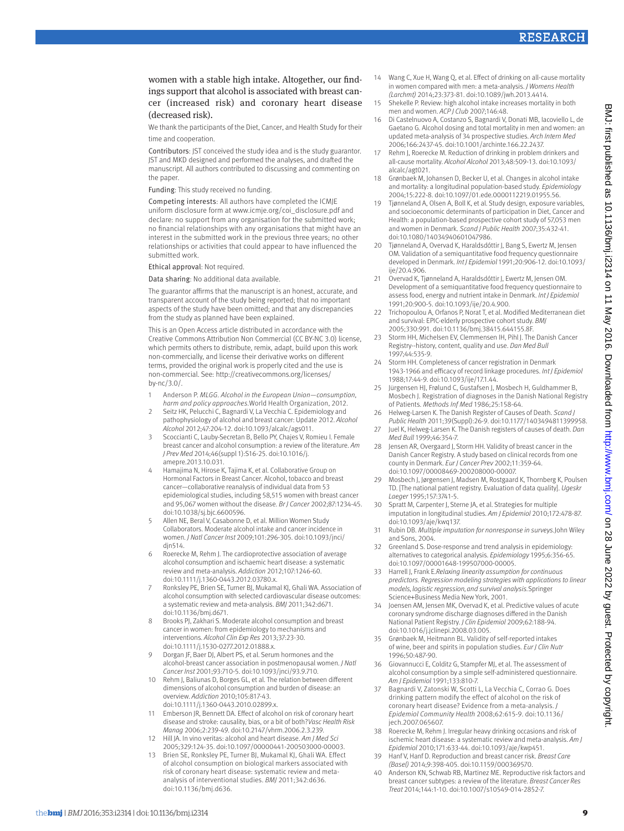# women with a stable high intake. Altogether, our findings support that alcohol is associated with breast cancer (increased risk) and coronary heart disease (decreased risk).

We thank the participants of the Diet, Cancer, and Health Study for their time and cooperation.

Contributors: JST conceived the study idea and is the study guarantor. JST and MKD designed and performed the analyses, and drafted the manuscript. All authors contributed to discussing and commenting on the paper.

#### Funding: This study received no funding.

Competing interests: All authors have completed the ICMJE uniform disclosure form at www.icmje.org/coi\_disclosure.pdf and declare: no support from any organisation for the submitted work; no financial relationships with any organisations that might have an interest in the submitted work in the previous three years; no other relationships or activities that could appear to have influenced the submitted work.

Ethical approval: Not required.

Data sharing: No additional data available.

The guarantor affirms that the manuscript is an honest, accurate, and transparent account of the study being reported; that no important aspects of the study have been omitted; and that any discrepancies from the study as planned have been explained.

This is an Open Access article distributed in accordance with the Creative Commons Attribution Non Commercial (CC BY-NC 3.0) license, which permits others to distribute, remix, adapt, build upon this work non-commercially, and license their derivative works on different terms, provided the original work is properly cited and the use is non-commercial. See: http://creativecommons.org/licenses/ by-nc/3.0/.

- 1 Anderson P. *MLGG. Alcohol in the European Union—consumption, harm and policy approaches.*World Health Organization, 2012.
- 2 Seitz HK, Pelucchi C, Bagnardi V, La Vecchia C. Epidemiology and pathophysiology of alcohol and breast cancer: Update 2012. *Alcohol Alcohol* 2012;47:204-12. doi:10.1093/alcalc/ags011.
- 3 Scoccianti C, Lauby-Secretan B, Bello PY, Chajes V, Romieu I. Female breast cancer and alcohol consumption: a review of the literature. *Am J Prev Med* 2014;46(suppl 1):S16-25. doi:10.1016/j. amepre.2013.10.031.
- 4 Hamajima N, Hirose K, Tajima K, et al. Collaborative Group on Hormonal Factors in Breast Cancer. Alcohol, tobacco and breast cancer—collaborative reanalysis of individual data from 53 epidemiological studies, including 58,515 women with breast cancer and 95,067 women without the disease. *Br J Cancer* 2002;87:1234-45. doi:10.1038/sj.bjc.6600596.
- 5 Allen NE, Beral V, Casabonne D, et al. Million Women Study Collaborators. Moderate alcohol intake and cancer incidence in women. *J Natl Cancer Inst* 2009;101:296-305. doi:10.1093/jnci/  $\dim 514$
- 6 Roerecke M, Rehm J. The cardioprotective association of average alcohol consumption and ischaemic heart disease: a systematic review and meta-analysis. *Addiction* 2012;107:1246-60. doi:10.1111/j.1360-0443.2012.03780.x.
- Ronksley PE, Brien SE, Turner BJ, Mukamal KJ, Ghali WA. Association of alcohol consumption with selected cardiovascular disease outcomes: a systematic review and meta-analysis. *BMJ* 2011;342:d671. doi:10.1136/bmj.d671.
- 8 Brooks PJ, Zakhari S. Moderate alcohol consumption and breast cancer in women: from epidemiology to mechanisms and interventions. *Alcohol Clin Exp Res* 2013;37:23-30. doi:10.1111/j.1530-0277.2012.01888.x.
- 9 Dorgan JF, Baer DJ, Albert PS, et al. Serum hormones and the alcohol-breast cancer association in postmenopausal women. *J Natl Cancer Inst* 2001;93:710-5. doi:10.1093/jnci/93.9.710.
- 10 Rehm J, Baliunas D, Borges GL, et al. The relation between different dimensions of alcohol consumption and burden of disease: an overview. *Addiction* 2010;105:817-43. doi:10.1111/j.1360-0443.2010.02899.x.
- 11 Emberson JR, Bennett DA. Effect of alcohol on risk of coronary heart disease and stroke: causality, bias, or a bit of both?*Vasc Health Risk Manag* 2006;2:239-49. doi:10.2147/vhrm.2006.2.3.239.
- 12 Hill JA. In vino veritas: alcohol and heart disease. *Am J Med Sci* 2005;329:124-35. doi:10.1097/00000441-200503000-00003.
- 13 Brien SE, Ronksley PE, Turner BJ, Mukamal KJ, Ghali WA. Effect of alcohol consumption on biological markers associated with risk of coronary heart disease: systematic review and metaanalysis of interventional studies. *BMJ* 2011;342:d636. doi:10.1136/bmj.d636.
- 14 Wang C, Xue H, Wang Q, et al. Effect of drinking on all-cause mortality in women compared with men: a meta-analysis. *J Womens Health (Larchmt)* 2014;23:373-81. doi:10.1089/jwh.2013.4414.
- 15 Shekelle P. Review: high alcohol intake increases mortality in both men and women. *ACP J Club* 2007;146:48.
- 16 Di Castelnuovo A, Costanzo S, Bagnardi V, Donati MB, Iacoviello L, de Gaetano G. Alcohol dosing and total mortality in men and women: an updated meta-analysis of 34 prospective studies. *Arch Intern Med* 2006;166:2437-45. doi:10.1001/archinte.166.22.2437.
- 17 Rehm J, Roerecke M. Reduction of drinking in problem drinkers and all-cause mortality. *Alcohol Alcohol* 2013;48:509-13. doi:10.1093/ alcalc/agt021.
- 18 Grønbaek M, Johansen D, Becker U, et al. Changes in alcohol intake and mortality: a longitudinal population-based study. *Epidemiology* 2004;15:222-8. doi:10.1097/01.ede.0000112219.01955.56.
- 19 Tjønneland A, Olsen A, Boll K, et al. Study design, exposure variables, and socioeconomic determinants of participation in Diet, Cancer and Health: a population-based prospective cohort study of 57,053 men and women in Denmark. *Scand J Public Health* 2007;35:432-41. doi:10.1080/14034940601047986.
- 20 Tjønneland A, Overvad K, Haraldsdóttir J, Bang S, Ewertz M, Jensen OM. Validation of a semiquantitative food frequency questionnaire developed in Denmark. *Int J Epidemiol* 1991;20:906-12. doi:10.1093/ ije/20.4.906.
- 21 Overvad K, Tjønneland A, Haraldsdóttir J, Ewertz M, Jensen OM. Development of a semiquantitative food frequency questionnaire to assess food, energy and nutrient intake in Denmark. *Int J Epidemiol* 1991;20:900-5. doi:10.1093/ije/20.4.900.
- 22 Trichopoulou A, Orfanos P, Norat T, et al. Modified Mediterranean diet and survival: EPIC-elderly prospective cohort study. *BMJ* 2005;330:991. doi:10.1136/bmj.38415.644155.8F.
- Storm HH, Michelsen EV, Clemmensen IH, Pihl J. The Danish Cancer Registry--history, content, quality and use. *Dan Med Bull* 1997;44:535-9.
- 24 Storm HH. Completeness of cancer registration in Denmark 1943-1966 and efficacy of record linkage procedures. *Int J Epidemiol* 1988;17:44-9. doi:10.1093/ije/17.1.44.
- 25 Jürgensen HJ, Frølund C, Gustafsen J, Mosbech H, Guldhammer B, Mosbech J. Registration of diagnoses in the Danish National Registry of Patients. *Methods Inf Med* 1986;25:158-64.
- 26 Helweg-Larsen K. The Danish Register of Causes of Death. *Scand J Public Health* 2011;39(Suppl):26-9. doi:10.1177/1403494811399958.
- 27 Juel K, Helweg-Larsen K. The Danish registers of causes of death. *Dan Med Bull* 1999;46:354-7.
- 28 Jensen AR, Overgaard J, Storm HH. Validity of breast cancer in the Danish Cancer Registry. A study based on clinical records from one county in Denmark. *Eur J Cancer Prev* 2002;11:359-64. doi:10.1097/00008469-200208000-00007.
- 29 Mosbech J, Jørgensen J, Madsen M, Rostgaard K, Thornberg K, Poulsen TD. [The national patient registry. Evaluation of data quality]. *Ugeskr Laeger* 1995;157:3741-5.
- 30 Spratt M, Carpenter J, Sterne JA, et al. Strategies for multiple imputation in longitudinal studies. *Am J Epidemiol* 2010;172:478-87. doi:10.1093/aje/kwq137.
- 31 Rubin DB. *Multiple imputation for nonresponse in surveys.*John Wiley and Sons, 2004.
- 32 Greenland S. Dose-response and trend analysis in epidemiology: alternatives to categorical analysis. *Epidemiology* 1995;6:356-65. doi:10.1097/00001648-199507000-00005.
- 33 Harrell J, Frank E.*Relaxing linearity assumption for continuous predictors. Regression modeling strategies with applications to linear models, logistic regression, and survival analysis.*Springer Science+Business Media New York, 2001.
- 34 Joensen AM, Jensen MK, Overvad K, et al. Predictive values of acute coronary syndrome discharge diagnoses differed in the Danish National Patient Registry. *J Clin Epidemiol* 2009;62:188-94. doi:10.1016/j.jclinepi.2008.03.005.
- 35 Grønbaek M, Heitmann BL. Validity of self-reported intakes of wine, beer and spirits in population studies. *Eur J Clin Nutr* 1996;50:487-90.
- 36 Giovannucci E, Colditz G, Stampfer MJ, et al. The assessment of alcohol consumption by a simple self-administered questionnaire. *Am J Epidemiol* 1991;133:810-7.
- 37 Bagnardi V, Zatonski W, Scotti L, La Vecchia C, Corrao G. Does drinking pattern modify the effect of alcohol on the risk of coronary heart disease? Evidence from a meta-analysis. *J Epidemiol Community Health* 2008;62:615-9. doi:10.1136/ jech.2007.065607.
- 38 Roerecke M, Rehm J. Irregular heavy drinking occasions and risk of ischemic heart disease: a systematic review and meta-analysis. *Am J Epidemiol* 2010;171:633-44. doi:10.1093/aje/kwp451.
- 39 Hanf V, Hanf D. Reproduction and breast cancer risk. *Breast Care (Basel)* 2014;9:398-405. doi:10.1159/000369570.
- 40 Anderson KN, Schwab RB, Martinez ME. Reproductive risk factors and breast cancer subtypes: a review of the literature. *Breast Cancer Res Treat* 2014;144:1-10. doi:10.1007/s10549-014-2852-7.